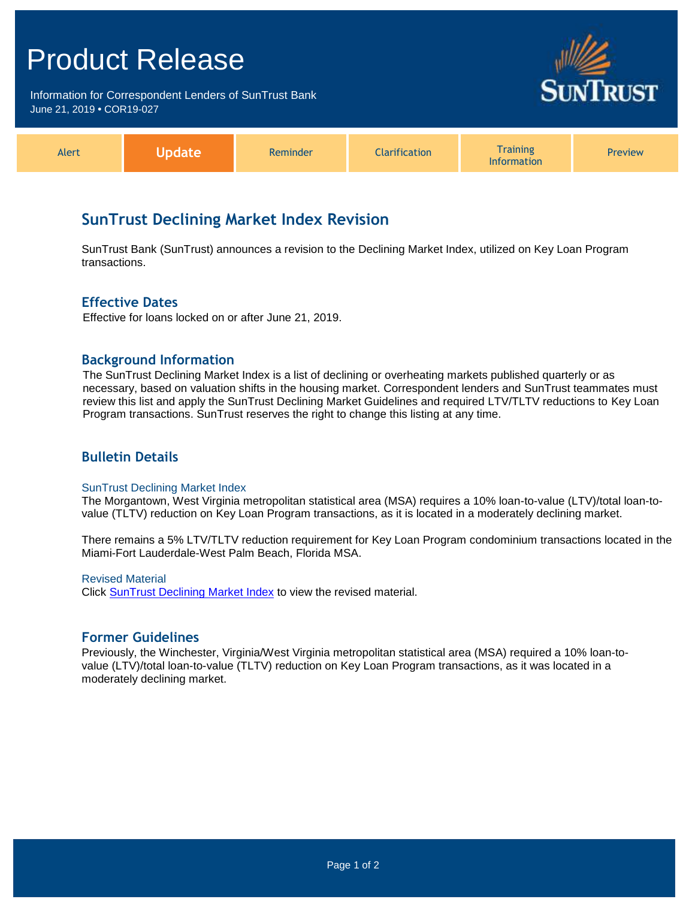# Product Release

Information for Correspondent Lenders of SunTrust Bank June 21, 2019 **•** COR19-027



| Alert | Inc<br> | Reminder | <b>Clarification</b> | <b>Training</b><br>Information | <b>Preview</b> |
|-------|---------|----------|----------------------|--------------------------------|----------------|
|-------|---------|----------|----------------------|--------------------------------|----------------|

# **SunTrust Declining Market Index Revision**

SunTrust Bank (SunTrust) announces a revision to the Declining Market Index, utilized on Key Loan Program transactions.

### **Effective Dates**

Effective for loans locked on or after June 21, 2019.

#### **Background Information**

The SunTrust Declining Market Index is a list of declining or overheating markets published quarterly or as necessary, based on valuation shifts in the housing market. Correspondent lenders and SunTrust teammates must review this list and apply the SunTrust Declining Market Guidelines and required LTV/TLTV reductions to Key Loan Program transactions. SunTrust reserves the right to change this listing at any time.

### **Bulletin Details**

#### SunTrust Declining Market Index

The Morgantown, West Virginia metropolitan statistical area (MSA) requires a 10% loan-to-value (LTV)/total loan-tovalue (TLTV) reduction on Key Loan Program transactions, as it is located in a moderately declining market.

There remains a 5% LTV/TLTV reduction requirement for Key Loan Program condominium transactions located in the Miami-Fort Lauderdale-West Palm Beach, Florida MSA.

#### Revised Material

Click **SunTrust Declining Market Index** to view the revised material.

#### **Former Guidelines**

Previously, the Winchester, Virginia/West Virginia metropolitan statistical area (MSA) required a 10% loan-tovalue (LTV)/total loan-to-value (TLTV) reduction on Key Loan Program transactions, as it was located in a moderately declining market.